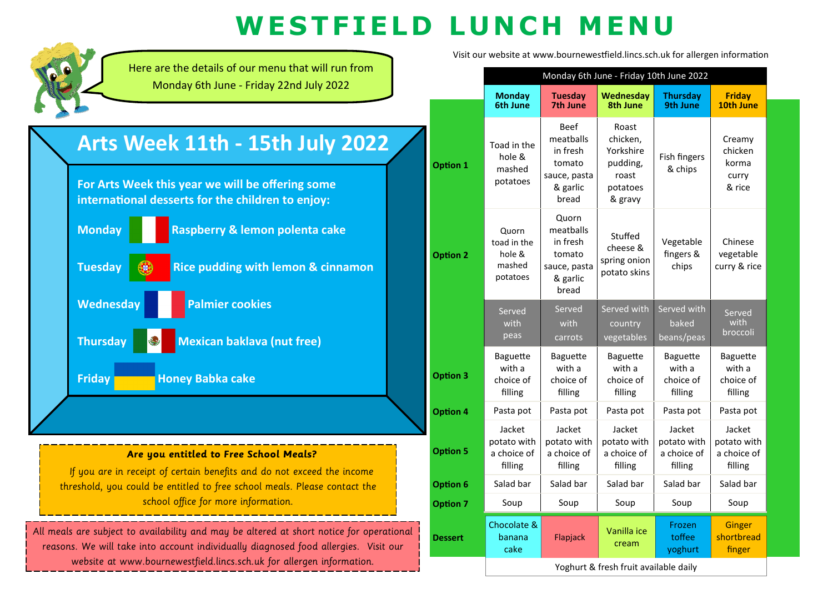## **W E S T F I E L D L UN C H M EN U**

**Option 7**

Chocolate & banana cake

**Dessert**



threshold, you could be entitled to free school meals. Please contact the school office for more information.

All meals are subject to availability and may be altered at short notice for operational reasons. We will take into account individually diagnosed food allergies. Visit our website at www.bournewestfield.lincs.sch.uk for allergen information.

Visit our website at www.bournewestfield.lincs.sch.uk for allergen information

Yoghurt & fresh fruit available daily

cream

Soup | Soup | Soup | Soup | Soup

Frozen toffee yoghurt

**Ginger** shortbread finger

Flapjack Vanilla ice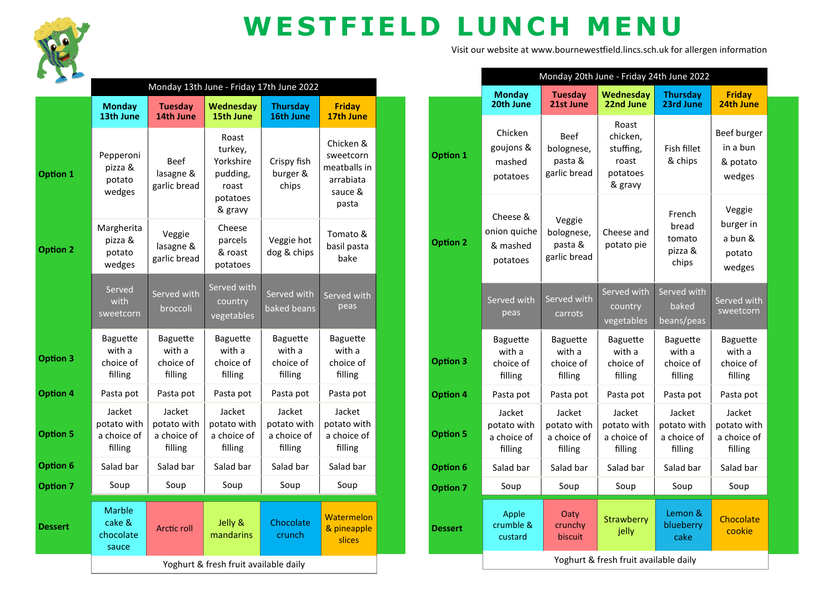

## **WESTFIELD LUNCH MENU**

Visit our website at www.bournewestfield.lincs.sch.uk for allergen information

|                 | Monday 13th June - Friday 17th June 2022          |                                                   |                                                                           |                                                   |                                                                         |  |
|-----------------|---------------------------------------------------|---------------------------------------------------|---------------------------------------------------------------------------|---------------------------------------------------|-------------------------------------------------------------------------|--|
|                 | <b>Monday</b><br>13th June                        | <b>Tuesday</b><br>14th June                       | <b>Wednesday</b><br>15th June                                             | <b>Thursday</b><br>16th June                      | <b>Friday</b><br>17th June                                              |  |
| Option 1        | Pepperoni<br>pizza &<br>potato<br>wedges          | <b>Beef</b><br>lasagne &<br>garlic bread          | Roast<br>turkey,<br>Yorkshire<br>pudding,<br>roast<br>potatoes<br>& gravy | Crispy fish<br>burger &<br>chips                  | Chicken &<br>sweetcorn<br>meatballs in<br>arrabiata<br>sauce &<br>pasta |  |
| <b>Option 2</b> | Margherita<br>pizza &<br>potato<br>wedges         | Veggie<br>lasagne &<br>garlic bread               | Cheese<br>parcels<br>& roast<br>potatoes                                  | Veggie hot<br>dog & chips                         | Tomato &<br>basil pasta<br>bake                                         |  |
|                 | Served<br>with<br>sweetcorn                       | Served with<br>broccoli                           | Served with<br>country<br>vegetables                                      | Served with<br>baked beans                        | Served with<br>peas                                                     |  |
| <b>Option 3</b> | <b>Baguette</b><br>with a<br>choice of<br>filling | <b>Baguette</b><br>with a<br>choice of<br>filling | <b>Baguette</b><br>with a<br>choice of<br>filling                         | <b>Baguette</b><br>with a<br>choice of<br>filling | <b>Baguette</b><br>with a<br>choice of<br>filling                       |  |
| <b>Option 4</b> | Pasta pot                                         | Pasta pot                                         | Pasta pot                                                                 | Pasta pot                                         | Pasta pot                                                               |  |
| <b>Option 5</b> | Jacket<br>potato with<br>a choice of<br>filling   | Jacket<br>potato with<br>a choice of<br>filling   | Jacket<br>potato with<br>a choice of<br>filling                           | Jacket<br>potato with<br>a choice of<br>filling   | Jacket<br>potato with<br>a choice of<br>filling                         |  |
| <b>Option 6</b> | Salad bar                                         | Salad bar                                         | Salad bar                                                                 | Salad bar                                         | Salad bar                                                               |  |
| <b>Option 7</b> | Soup                                              | Soup                                              | Soup                                                                      | Soup                                              | Soup                                                                    |  |
| <b>Dessert</b>  | <b>Marble</b><br>cake &<br>chocolate<br>sauce     | Arctic roll                                       | Jelly &<br>mandarins                                                      | Chocolate<br>crunch                               | Watermelon<br>& pineapple<br>slices                                     |  |
|                 | Yoghurt & fresh fruit available daily             |                                                   |                                                                           |                                                   |                                                                         |  |

|                 | Monday 20th June - Friday 24th June 2022          |                                                      |                                                                |                                                   |                                                    |  |
|-----------------|---------------------------------------------------|------------------------------------------------------|----------------------------------------------------------------|---------------------------------------------------|----------------------------------------------------|--|
|                 | <b>Monday</b><br>20th June                        | <b>Tuesday</b><br>21st June                          | Wednesdav<br>22nd June                                         | <b>Thursdav</b><br>23rd June                      | <b>Friday</b><br>24th June                         |  |
| <b>Option 1</b> | Chicken<br>goujons &<br>mashed<br>potatoes        | <b>Beef</b><br>bolognese,<br>pasta &<br>garlic bread | Roast<br>chicken,<br>stuffing,<br>roast<br>potatoes<br>& gravy | Fish fillet<br>& chips                            | Beef burger<br>in a bun<br>& potato<br>wedges      |  |
| <b>Option 2</b> | Cheese &<br>onion quiche<br>& mashed<br>potatoes  | Veggie<br>bolognese,<br>pasta &<br>garlic bread      | Cheese and<br>potato pie                                       | French<br>bread<br>tomato<br>pizza &<br>chips     | Veggie<br>burger in<br>a bun &<br>potato<br>wedges |  |
|                 | Served with<br>peas                               | Served with<br>carrots                               | Served with<br>country<br>vegetables                           | Served with<br>baked<br>beans/peas                | Served with<br>sweetcorn                           |  |
| <b>Option 3</b> | <b>Baguette</b><br>with a<br>choice of<br>filling | <b>Baguette</b><br>with a<br>choice of<br>filling    | <b>Baguette</b><br>with a<br>choice of<br>filling              | <b>Baguette</b><br>with a<br>choice of<br>filling | <b>Baguette</b><br>with a<br>choice of<br>filling  |  |
| <b>Option 4</b> | Pasta pot                                         | Pasta pot                                            | Pasta pot                                                      | Pasta pot                                         | Pasta pot                                          |  |
| <b>Option 5</b> | Jacket<br>potato with<br>a choice of<br>filling   | Jacket<br>potato with<br>a choice of<br>filling      | Jacket<br>potato with<br>a choice of<br>filling                | Jacket<br>potato with<br>a choice of<br>filling   | Jacket<br>potato with<br>a choice of<br>filling    |  |
| <b>Option 6</b> | Salad bar                                         | Salad bar                                            | Salad bar                                                      | Salad bar                                         | Salad bar                                          |  |
| <b>Option 7</b> | Soup                                              | Soup                                                 | Soup                                                           | Soup                                              | Soup                                               |  |
| <b>Dessert</b>  | Apple<br>crumble &<br>custard                     | Oaty<br>crunchy<br>biscuit                           | Strawberry<br>jelly                                            | Lemon &<br>blueberry<br>cake                      | Chocolate<br>cookie                                |  |
|                 | Yoghurt & fresh fruit available daily             |                                                      |                                                                |                                                   |                                                    |  |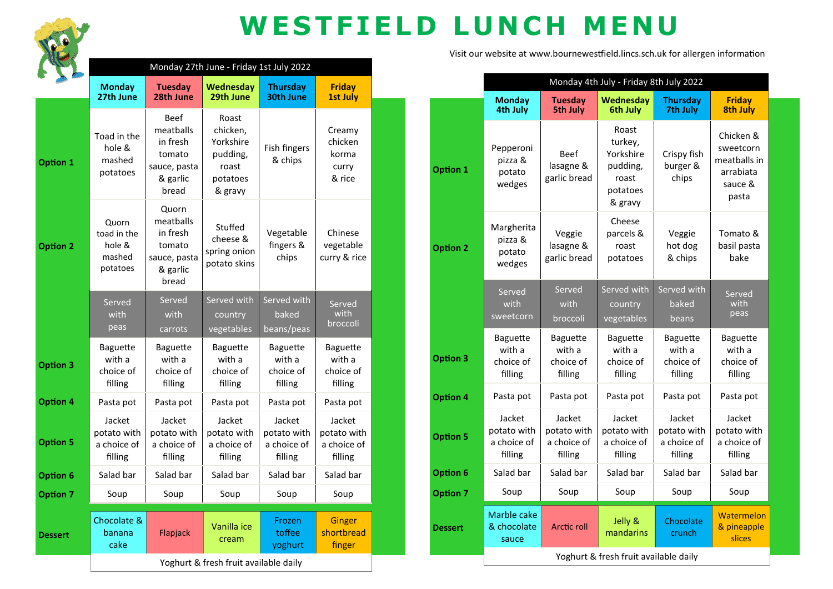

## **WESTFIELD LUNCH MENU**

|                 | Monday 27th June - Friday 1st July 2022              |                                                                                     |                                                                            |                                                   |                                                   |  |
|-----------------|------------------------------------------------------|-------------------------------------------------------------------------------------|----------------------------------------------------------------------------|---------------------------------------------------|---------------------------------------------------|--|
|                 | <b>Monday</b><br>27th June                           | <b>Tuesday</b><br>28th June                                                         | <b>Wednesday</b><br>29th June                                              | <b>Thursday</b><br>30th June                      | <b>Friday</b><br><b>1st July</b>                  |  |
| <b>Option 1</b> | Toad in the<br>hole &<br>mashed<br>potatoes          | <b>Beef</b><br>meatballs<br>in fresh<br>tomato<br>sauce, pasta<br>& garlic<br>bread | Roast<br>chicken,<br>Yorkshire<br>pudding,<br>roast<br>potatoes<br>& gravy | Fish fingers<br>& chips                           | Creamy<br>chicken<br>korma<br>curry<br>& rice     |  |
| <b>Option 2</b> | Quorn<br>toad in the<br>hole &<br>mashed<br>potatoes | Quorn<br>meatballs<br>in fresh<br>tomato<br>sauce, pasta<br>& garlic<br>bread       | Stuffed<br>cheese &<br>spring onion<br>potato skins                        | Vegetable<br>fingers &<br>chips                   | Chinese<br>vegetable<br>curry & rice              |  |
|                 | Served<br>with<br>peas                               | Served<br>with<br>carrots                                                           | Served with<br>country<br>vegetables                                       | Served with<br>baked<br>beans/peas                | Served<br>with<br>broccoli                        |  |
| <b>Option 3</b> | <b>Baguette</b><br>with a<br>choice of<br>filling    | <b>Baguette</b><br>with a<br>choice of<br>filling                                   | <b>Baguette</b><br>with a<br>choice of<br>filling                          | <b>Baguette</b><br>with a<br>choice of<br>filling | <b>Baguette</b><br>with a<br>choice of<br>filling |  |
| <b>Option 4</b> | Pasta pot                                            | Pasta pot                                                                           | Pasta pot                                                                  | Pasta pot                                         | Pasta pot                                         |  |
| <b>Option 5</b> | Jacket<br>potato with<br>a choice of<br>filling      | Jacket<br>potato with<br>a choice of<br>filling                                     | Jacket<br>potato with<br>a choice of<br>filling                            | Jacket<br>potato with<br>a choice of<br>filling   | Jacket<br>potato with<br>a choice of<br>filling   |  |
| <b>Option 6</b> | Salad bar                                            | Salad bar                                                                           | Salad bar                                                                  | Salad bar                                         | Salad bar                                         |  |
| <b>Option 7</b> | Soup                                                 | Soup                                                                                | Soup                                                                       | Soup                                              | Soup                                              |  |
| <b>Dessert</b>  | Chocolate &<br>banana<br>cake                        | Flapjack                                                                            | Vanilla ice<br>cream                                                       | Frozen<br>toffee<br>yoghurt                       | <b>Ginger</b><br>shortbread<br>finger             |  |
|                 | Yoghurt & fresh fruit available daily                |                                                                                     |                                                                            |                                                   |                                                   |  |

Visit our website at www.bournewestfield.lincs.sch.uk for allergen information

|                 | Monday 4th July - Friday 8th July 2022            |                                                   |                                                                           |                                                   |                                                                         |  |
|-----------------|---------------------------------------------------|---------------------------------------------------|---------------------------------------------------------------------------|---------------------------------------------------|-------------------------------------------------------------------------|--|
|                 | <b>Monday</b><br>4th July                         | <b>Tuesday</b><br><b>5th July</b>                 | Wednesday<br>6th July                                                     | <b>Thursday</b><br>7th July                       | <b>Friday</b><br><b>8th July</b>                                        |  |
| <b>Option 1</b> | Pepperoni<br>pizza &<br>potato<br>wedges          | <b>Beef</b><br>lasagne &<br>garlic bread          | Roast<br>turkey,<br>Yorkshire<br>pudding,<br>roast<br>potatoes<br>& gravy | Crispy fish<br>burger &<br>chips                  | Chicken &<br>sweetcorn<br>meatballs in<br>arrabiata<br>sauce &<br>pasta |  |
| <b>Option 2</b> | Margherita<br>pizza &<br>potato<br>wedges         | Veggie<br>lasagne &<br>garlic bread               | Cheese<br>parcels &<br>roast<br>potatoes                                  | Veggie<br>hot dog<br>& chips                      | Tomato &<br>basil pasta<br>bake                                         |  |
|                 | Served<br>with<br>sweetcorn                       | Served<br>with<br>broccoli                        | Served with<br>country<br>vegetables                                      | Served with<br>baked<br>beans                     | Served<br>with<br>peas                                                  |  |
| <b>Option 3</b> | <b>Baguette</b><br>with a<br>choice of<br>filling | <b>Baguette</b><br>with a<br>choice of<br>filling | <b>Baguette</b><br>with a<br>choice of<br>filling                         | <b>Baguette</b><br>with a<br>choice of<br>filling | <b>Baguette</b><br>with a<br>choice of<br>filling                       |  |
| <b>Option 4</b> | Pasta pot                                         | Pasta pot                                         | Pasta pot                                                                 | Pasta pot                                         | Pasta pot                                                               |  |
| <b>Option 5</b> | Jacket<br>potato with<br>a choice of<br>filling   | Jacket<br>potato with<br>a choice of<br>filling   | Jacket<br>potato with<br>a choice of<br>filling                           | Jacket<br>potato with<br>a choice of<br>filling   | Jacket<br>potato with<br>a choice of<br>filling                         |  |
| Option 6        | Salad bar                                         | Salad bar                                         | Salad bar                                                                 | Salad bar                                         | Salad bar                                                               |  |
| <b>Option 7</b> | Soup                                              | Soup                                              | Soup                                                                      | Soup                                              | Soup                                                                    |  |
| <b>Dessert</b>  | Marble cake<br>& chocolate<br>sauce               | <b>Arctic roll</b>                                | Jelly &<br>mandarins                                                      | Chocolate<br>crunch                               | Watermelon<br>& pineapple<br>slices                                     |  |
|                 | Yoghurt & fresh fruit available daily             |                                                   |                                                                           |                                                   |                                                                         |  |